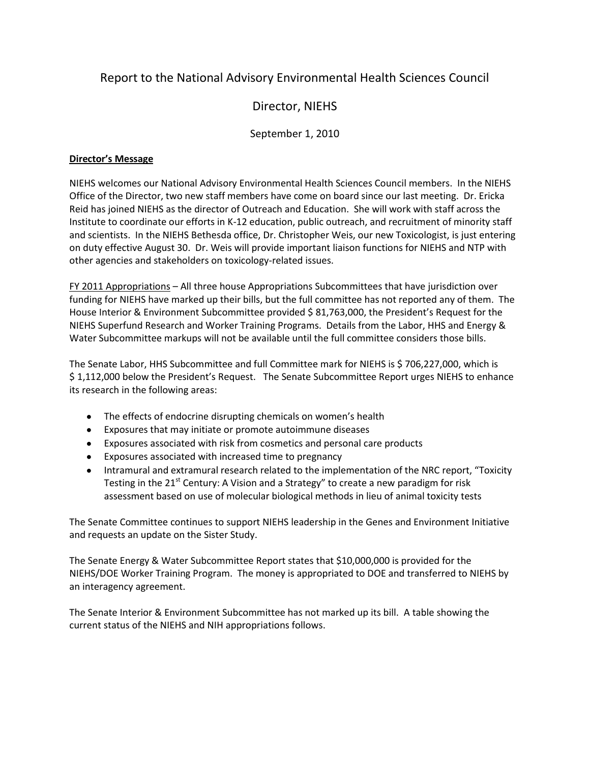# Report to the National Advisory Environmental Health Sciences Council

# Director, NIEHS

## September 1, 2010

### **Director's Message**

NIEHS welcomes our National Advisory Environmental Health Sciences Council members. In the NIEHS Office of the Director, two new staff members have come on board since our last meeting. Dr. Ericka Reid has joined NIEHS as the director of Outreach and Education. She will work with staff across the Institute to coordinate our efforts in K-12 education, public outreach, and recruitment of minority staff and scientists. In the NIEHS Bethesda office, Dr. Christopher Weis, our new Toxicologist, is just entering on duty effective August 30. Dr. Weis will provide important liaison functions for NIEHS and NTP with other agencies and stakeholders on toxicology-related issues.

FY 2011 Appropriations – All three house Appropriations Subcommittees that have jurisdiction over funding for NIEHS have marked up their bills, but the full committee has not reported any of them. The House Interior & Environment Subcommittee provided \$ 81,763,000, the President's Request for the NIEHS Superfund Research and Worker Training Programs. Details from the Labor, HHS and Energy & Water Subcommittee markups will not be available until the full committee considers those bills.

The Senate Labor, HHS Subcommittee and full Committee mark for NIEHS is \$706,227,000, which is \$ 1,112,000 below the President's Request. The Senate Subcommittee Report urges NIEHS to enhance its research in the following areas:

- The effects of endocrine disrupting chemicals on women's health
- Exposures that may initiate or promote autoimmune diseases
- Exposures associated with risk from cosmetics and personal care products
- Exposures associated with increased time to pregnancy
- Intramural and extramural research related to the implementation of the NRC report, "Toxicity Testing in the 21 $^{\rm st}$  Century: A Vision and a Strategy" to create a new paradigm for risk assessment based on use of molecular biological methods in lieu of animal toxicity tests

The Senate Committee continues to support NIEHS leadership in the Genes and Environment Initiative and requests an update on the Sister Study.

The Senate Energy & Water Subcommittee Report states that \$10,000,000 is provided for the NIEHS/DOE Worker Training Program. The money is appropriated to DOE and transferred to NIEHS by an interagency agreement.

The Senate Interior & Environment Subcommittee has not marked up its bill. A table showing the current status of the NIEHS and NIH appropriations follows.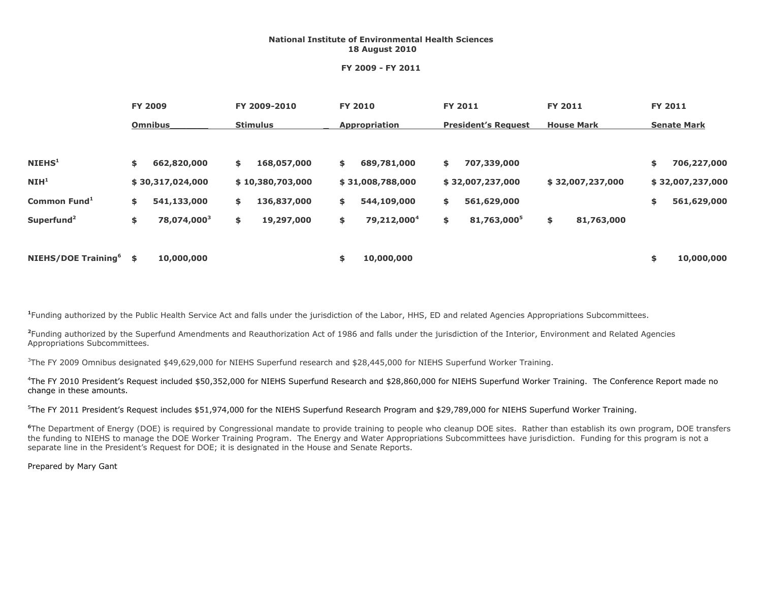#### **National Institute of Environmental Health Sciences 18 August 2010**

#### **FY 2009 - FY 2011**

|                                 | <b>FY 2009</b> |                         | FY 2009-2010    |                  | <b>FY 2010</b>       |                         | <b>FY 2011</b>             |                         | <b>FY 2011</b>    |                  | <b>FY 2011</b>     |                  |
|---------------------------------|----------------|-------------------------|-----------------|------------------|----------------------|-------------------------|----------------------------|-------------------------|-------------------|------------------|--------------------|------------------|
|                                 |                | <b>Omnibus</b>          | <b>Stimulus</b> |                  | <b>Appropriation</b> |                         | <b>President's Request</b> |                         | <b>House Mark</b> |                  | <b>Senate Mark</b> |                  |
| NIEHS <sup>1</sup>              | \$             | 662,820,000             | \$              | 168,057,000      | \$                   | 689,781,000             | \$                         | 707,339,000             |                   |                  | \$                 | 706,227,000      |
| NIH <sup>1</sup>                |                | \$30,317,024,000        |                 | \$10,380,703,000 |                      | \$31,008,788,000        |                            | \$32,007,237,000        |                   | \$32,007,237,000 |                    | \$32,007,237,000 |
| Common Fund <sup>1</sup>        | \$             | 541,133,000             | \$              | 136,837,000      | \$                   | 544,109,000             | \$                         | 561,629,000             |                   |                  | \$                 | 561,629,000      |
| Superfund <sup>2</sup>          | \$             | 78,074,000 <sup>3</sup> | \$              | 19,297,000       | \$                   | 79,212,000 <sup>4</sup> | \$                         | 81,763,000 <sup>5</sup> | \$                | 81,763,000       |                    |                  |
| NIEHS/DOE Training <sup>6</sup> | \$             | 10,000,000              |                 |                  | \$                   | 10,000,000              |                            |                         |                   |                  | \$                 | 10,000,000       |

**1** Funding authorized by the Public Health Service Act and falls under the jurisdiction of the Labor, HHS, ED and related Agencies Appropriations Subcommittees.

**2** Funding authorized by the Superfund Amendments and Reauthorization Act of 1986 and falls under the jurisdiction of the Interior, Environment and Related Agencies Appropriations Subcommittees.

<sup>3</sup>The FY 2009 Omnibus designated \$49,629,000 for NIEHS Superfund research and \$28,445,000 for NIEHS Superfund Worker Training.

<sup>4</sup>The FY 2010 President's Request included \$50,352,000 for NIEHS Superfund Research and \$28,860,000 for NIEHS Superfund Worker Training. The Conference Report made no change in these amounts.

<sup>5</sup>The FY 2011 President's Request includes \$51,974,000 for the NIEHS Superfund Research Program and \$29,789,000 for NIEHS Superfund Worker Training.

**<sup>6</sup>**The Department of Energy (DOE) is required by Congressional mandate to provide training to people who cleanup DOE sites. Rather than establish its own program, DOE transfers the funding to NIEHS to manage the DOE Worker Training Program. The Energy and Water Appropriations Subcommittees have jurisdiction. Funding for this program is not a separate line in the President's Request for DOE; it is designated in the House and Senate Reports.

Prepared by Mary Gant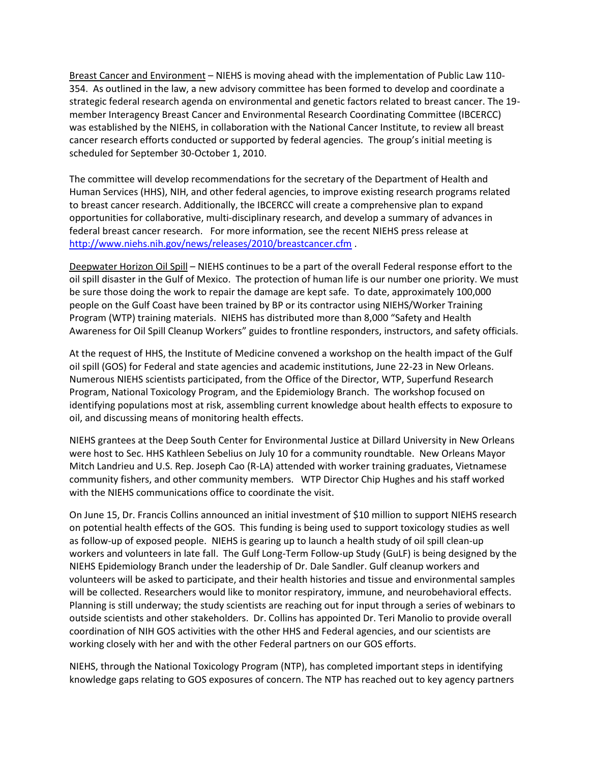Breast Cancer and Environment – NIEHS is moving ahead with the implementation of Public Law 110- 354. As outlined in the law, a new advisory committee has been formed to develop and coordinate a strategic federal research agenda on environmental and genetic factors related to breast cancer. The 19 member Interagency Breast Cancer and Environmental Research Coordinating Committee (IBCERCC) was established by the NIEHS, in collaboration with the National Cancer Institute, to review all breast cancer research efforts conducted or supported by federal agencies. The group's initial meeting is scheduled for September 30-October 1, 2010.

The committee will develop recommendations for the secretary of the Department of Health and Human Services (HHS), NIH, and other federal agencies, to improve existing research programs related to breast cancer research. Additionally, the IBCERCC will create a comprehensive plan to expand opportunities for collaborative, multi-disciplinary research, and develop a summary of advances in federal breast cancer research. For more information, see the recent NIEHS press release at <http://www.niehs.nih.gov/news/releases/2010/breastcancer.cfm> .

Deepwater Horizon Oil Spill – NIEHS continues to be a part of the overall Federal response effort to the oil spill disaster in the Gulf of Mexico. The protection of human life is our number one priority. We must be sure those doing the work to repair the damage are kept safe. To date, approximately 100,000 people on the Gulf Coast have been trained by BP or its contractor using NIEHS/Worker Training Program (WTP) training materials. NIEHS has distributed more than 8,000 "Safety and Health Awareness for Oil Spill Cleanup Workers" guides to frontline responders, instructors, and safety officials.

At the request of HHS, the Institute of Medicine convened a workshop on the health impact of the Gulf oil spill (GOS) for Federal and state agencies and academic institutions, June 22-23 in New Orleans. Numerous NIEHS scientists participated, from the Office of the Director, WTP, Superfund Research Program, National Toxicology Program, and the Epidemiology Branch. The workshop focused on identifying populations most at risk, assembling current knowledge about health effects to exposure to oil, and discussing means of monitoring health effects.

NIEHS grantees at the Deep South Center for Environmental Justice at Dillard University in New Orleans were host to Sec. HHS Kathleen Sebelius on July 10 for a community roundtable. New Orleans Mayor Mitch Landrieu and U.S. Rep. Joseph Cao (R-LA) attended with worker training graduates, Vietnamese community fishers, and other community members. WTP Director Chip Hughes and his staff worked with the NIEHS communications office to coordinate the visit.

On June 15, Dr. Francis Collins announced an initial investment of \$10 million to support NIEHS research on potential health effects of the GOS. This funding is being used to support toxicology studies as well as follow-up of exposed people. NIEHS is gearing up to launch a health study of oil spill clean-up workers and volunteers in late fall. The Gulf Long-Term Follow-up Study (GuLF) is being designed by the NIEHS Epidemiology Branch under the leadership of Dr. Dale Sandler. Gulf cleanup workers and volunteers will be asked to participate, and their health histories and tissue and environmental samples will be collected. Researchers would like to monitor respiratory, immune, and neurobehavioral effects. Planning is still underway; the study scientists are reaching out for input through a series of webinars to outside scientists and other stakeholders. Dr. Collins has appointed Dr. Teri Manolio to provide overall coordination of NIH GOS activities with the other HHS and Federal agencies, and our scientists are working closely with her and with the other Federal partners on our GOS efforts.

NIEHS, through the National Toxicology Program (NTP), has completed important steps in identifying knowledge gaps relating to GOS exposures of concern. The NTP has reached out to key agency partners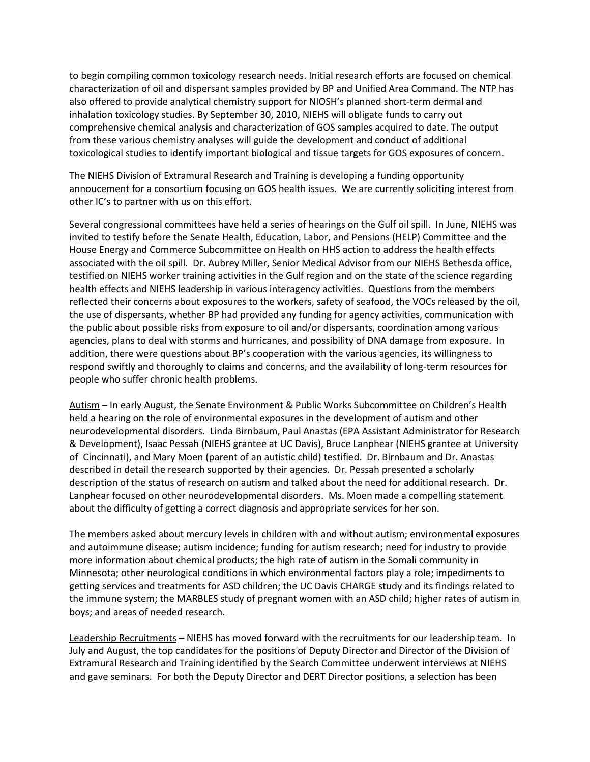to begin compiling common toxicology research needs. Initial research efforts are focused on chemical characterization of oil and dispersant samples provided by BP and Unified Area Command. The NTP has also offered to provide analytical chemistry support for NIOSH's planned short-term dermal and inhalation toxicology studies. By September 30, 2010, NIEHS will obligate funds to carry out comprehensive chemical analysis and characterization of GOS samples acquired to date. The output from these various chemistry analyses will guide the development and conduct of additional toxicological studies to identify important biological and tissue targets for GOS exposures of concern.

The NIEHS Division of Extramural Research and Training is developing a funding opportunity annoucement for a consortium focusing on GOS health issues. We are currently soliciting interest from other IC's to partner with us on this effort.

Several congressional committees have held a series of hearings on the Gulf oil spill. In June, NIEHS was invited to testify before the Senate Health, Education, Labor, and Pensions (HELP) Committee and the House Energy and Commerce Subcommittee on Health on HHS action to address the health effects associated with the oil spill. Dr. Aubrey Miller, Senior Medical Advisor from our NIEHS Bethesda office, testified on NIEHS worker training activities in the Gulf region and on the state of the science regarding health effects and NIEHS leadership in various interagency activities. Questions from the members reflected their concerns about exposures to the workers, safety of seafood, the VOCs released by the oil, the use of dispersants, whether BP had provided any funding for agency activities, communication with the public about possible risks from exposure to oil and/or dispersants, coordination among various agencies, plans to deal with storms and hurricanes, and possibility of DNA damage from exposure. In addition, there were questions about BP's cooperation with the various agencies, its willingness to respond swiftly and thoroughly to claims and concerns, and the availability of long-term resources for people who suffer chronic health problems.

Autism – In early August, the Senate Environment & Public Works Subcommittee on Children's Health held a hearing on the role of environmental exposures in the development of autism and other neurodevelopmental disorders. Linda Birnbaum, Paul Anastas (EPA Assistant Administrator for Research & Development), Isaac Pessah (NIEHS grantee at UC Davis), Bruce Lanphear (NIEHS grantee at University of Cincinnati), and Mary Moen (parent of an autistic child) testified. Dr. Birnbaum and Dr. Anastas described in detail the research supported by their agencies. Dr. Pessah presented a scholarly description of the status of research on autism and talked about the need for additional research. Dr. Lanphear focused on other neurodevelopmental disorders. Ms. Moen made a compelling statement about the difficulty of getting a correct diagnosis and appropriate services for her son.

The members asked about mercury levels in children with and without autism; environmental exposures and autoimmune disease; autism incidence; funding for autism research; need for industry to provide more information about chemical products; the high rate of autism in the Somali community in Minnesota; other neurological conditions in which environmental factors play a role; impediments to getting services and treatments for ASD children; the UC Davis CHARGE study and its findings related to the immune system; the MARBLES study of pregnant women with an ASD child; higher rates of autism in boys; and areas of needed research.

Leadership Recruitments – NIEHS has moved forward with the recruitments for our leadership team. In July and August, the top candidates for the positions of Deputy Director and Director of the Division of Extramural Research and Training identified by the Search Committee underwent interviews at NIEHS and gave seminars. For both the Deputy Director and DERT Director positions, a selection has been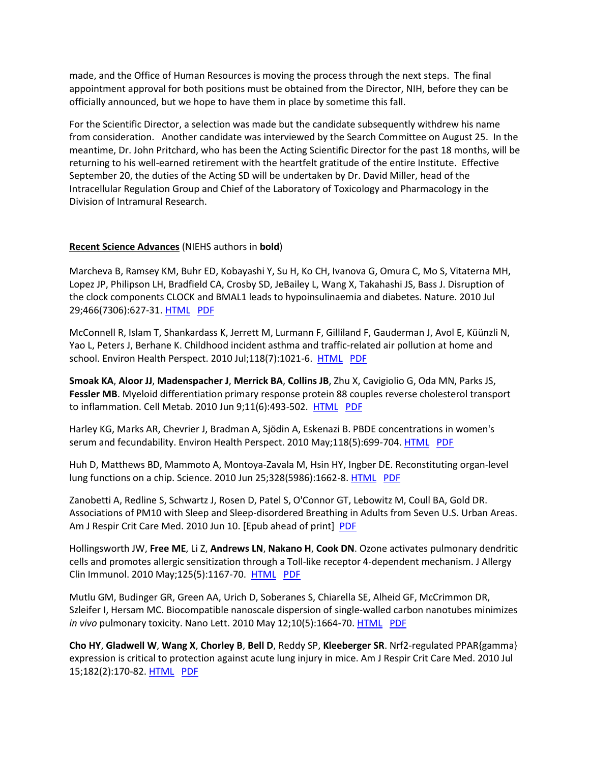made, and the Office of Human Resources is moving the process through the next steps. The final appointment approval for both positions must be obtained from the Director, NIH, before they can be officially announced, but we hope to have them in place by sometime this fall.

For the Scientific Director, a selection was made but the candidate subsequently withdrew his name from consideration. Another candidate was interviewed by the Search Committee on August 25. In the meantime, Dr. John Pritchard, who has been the Acting Scientific Director for the past 18 months, will be returning to his well-earned retirement with the heartfelt gratitude of the entire Institute. Effective September 20, the duties of the Acting SD will be undertaken by Dr. David Miller, head of the Intracellular Regulation Group and Chief of the Laboratory of Toxicology and Pharmacology in the Division of Intramural Research.

#### **Recent Science Advances** (NIEHS authors in **bold**)

Marcheva B, Ramsey KM, Buhr ED, Kobayashi Y, Su H, Ko CH, Ivanova G, Omura C, Mo S, Vitaterna MH, Lopez JP, Philipson LH, Bradfield CA, Crosby SD, JeBailey L, Wang X, Takahashi JS, Bass J. Disruption of the clock components CLOCK and BMAL1 leads to hypoinsulinaemia and diabetes. Nature. 2010 Jul 29;466(7306):627-31. [HTML](http://www.nature.com/nature/journal/v466/n7306/full/nature09253.html) [PDF](http://www.nature.com/nature/journal/v466/n7306/pdf/nature09253.pdf)

McConnell R, Islam T, Shankardass K, Jerrett M, Lurmann F, Gilliland F, Gauderman J, Avol E, Küünzli N, Yao L, Peters J, Berhane K. Childhood incident asthma and traffic-related air pollution at home and school. Environ Health Perspect. 2010 Jul;118(7):1021-6. [HTML](http://www.ncbi.nlm.nih.gov/pmc/articles/PMC2920902/?tool=pubmed) [PDF](http://www.ncbi.nlm.nih.gov/pmc/articles/PMC2920902/pdf/ehp-118-1021.pdf)

**Smoak KA**, **Aloor JJ**, **Madenspacher J**, **Merrick BA**, **Collins JB**, Zhu X, Cavigiolio G, Oda MN, Parks JS, **Fessler MB**. Myeloid differentiation primary response protein 88 couples reverse cholesterol transport to inflammation. Cell Metab. 2010 Jun 9;11(6):493-502. [HTML](http://www.sciencedirect.com/science?_ob=ArticleURL&_udi=B7MFH-50873RD-8&_user=4333534&_coverDate=06%2F09%2F2010&_rdoc=1&_fmt=high&_orig=search&_sort=d&_docanchor=&view=c&_acct=C000000150&_version=1&_urlVersion=0&_userid=4333534&md5=33547fb88c86a3be7292552fd39257f2) [PDF](http://www.sciencedirect.com/science?_ob=MImg&_imagekey=B7MFH-50873RD-8-V&_cdi=23259&_user=4333534&_pii=S1550413110001178&_orig=search&_coverDate=06%2F09%2F2010&_sk=999889993&view=c&wchp=dGLbVtb-zSkWb&md5=38524d82317e34b12920668f58b5475e&ie=/sdarticle.pdf)

Harley KG, Marks AR, Chevrier J, Bradman A, Sjödin A, Eskenazi B. PBDE concentrations in women's serum and fecundability. Environ Health Perspect. 2010 May;118(5):699-704[. HTML](http://www.ncbi.nlm.nih.gov/pmc/articles/PMC2866688/?tool=pubmed) [PDF](http://www.ncbi.nlm.nih.gov/pmc/articles/PMC2866688/pdf/ehp-118-699.pdf)

Huh D, Matthews BD, Mammoto A, Montoya-Zavala M, Hsin HY, Ingber DE. Reconstituting organ-level lung functions on a chip. Science. 2010 Jun 25;328(5986):1662-8. **HTML** [PDF](http://www.sciencemag.org/cgi/reprint/328/5986/1662.pdf)

Zanobetti A, Redline S, Schwartz J, Rosen D, Patel S, O'Connor GT, Lebowitz M, Coull BA, Gold DR. Associations of PM10 with Sleep and Sleep-disordered Breathing in Adults from Seven U.S. Urban Areas. Am J Respir Crit Care Med. 2010 Jun 10. [Epub ahead of print] [PDF](http://ajrccm.atsjournals.org/cgi/reprint/200912-1797OCv2.pdf)

Hollingsworth JW, **Free ME**, Li Z, **Andrews LN**, **Nakano H**, **Cook DN**. Ozone activates pulmonary dendritic cells and promotes allergic sensitization through a Toll-like receptor 4-dependent mechanism. J Allergy Clin Immunol. 2010 May;125(5):1167-70. [HTML](http://www.sciencedirect.com/science?_ob=ArticleURL&_udi=B6WH4-4YVP10K-5&_user=4333534&_coverDate=05%2F31%2F2010&_rdoc=1&_fmt=high&_orig=search&_sort=d&_docanchor=&view=c&_acct=C000000150&_version=1&_urlVersion=0&_userid=4333534&md5=512ab703ec644e39e94d1d360c61efcb) [PDF](http://www.sciencedirect.com/science?_ob=MImg&_imagekey=B7MFH-50873RD-8-V&_cdi=23259&_user=4333534&_pii=S1550413110001178&_orig=search&_coverDate=06%2F09%2F2010&_sk=999889993&view=c&wchp=dGLbVtb-zSkWb&md5=38524d82317e34b12920668f58b5475e&ie=/sdarticle.pdf)

Mutlu GM, Budinger GR, Green AA, Urich D, Soberanes S, Chiarella SE, Alheid GF, McCrimmon DR, Szleifer I, Hersam MC. Biocompatible nanoscale dispersion of single-walled carbon nanotubes minimizes *in vivo* pulmonary toxicity. Nano Lett. 2010 May 12;10(5):1664-70. **HTML [PDF](http://pubs.acs.org/doi/pdf/10.1021/nl9042483)** 

**Cho HY**, **Gladwell W**, **Wang X**, **Chorley B**, **Bell D**, Reddy SP, **Kleeberger SR**. Nrf2-regulated PPAR{gamma} expression is critical to protection against acute lung injury in mice. Am J Respir Crit Care Med. 2010 Jul 15;182(2):170-82[. HTML](http://ajrccm.atsjournals.org/cgi/content/full/182/2/170) [PDF](http://ajrccm.atsjournals.org/cgi/reprint/182/2/170.pdf)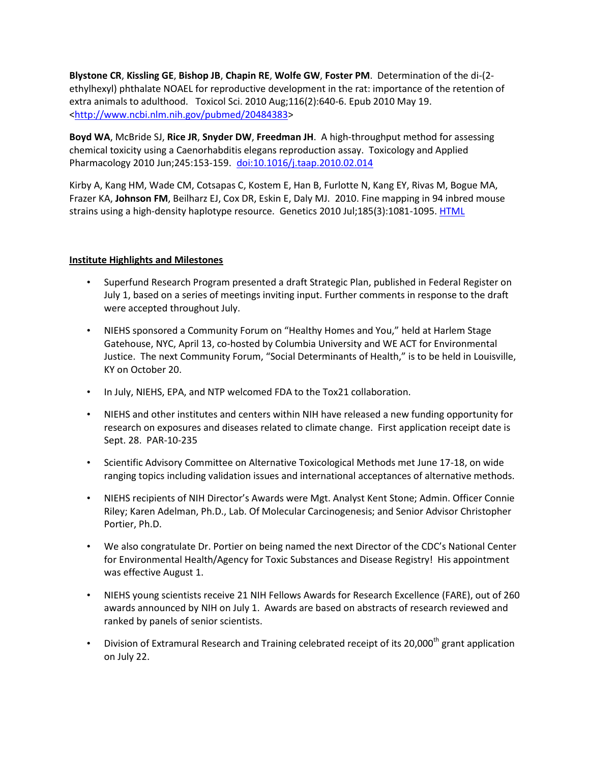**Blystone CR**, **Kissling GE**, **Bishop JB**, **Chapin RE**, **Wolfe GW**, **Foster PM**. Determination of the di-(2 ethylhexyl) phthalate NOAEL for reproductive development in the rat: importance of the retention of extra animals to adulthood. Toxicol Sci. 2010 Aug;116(2):640-6. Epub 2010 May 19. [<http://www.ncbi.nlm.nih.gov/pubmed/20484383>](http://www.ncbi.nlm.nih.gov/pubmed/20484383)

**Boyd WA**, McBride SJ, **Rice JR**, **Snyder DW**, **Freedman JH**. A high-throughput method for assessing chemical toxicity using a Caenorhabditis elegans reproduction assay. Toxicology and Applied Pharmacology 2010 Jun;245:153-159. [doi:10.1016/j.taap.2010.02.014](http://dx.doi.org/10.1016/j.taap.2010.02.014) 

Kirby A, Kang HM, Wade CM, Cotsapas C, Kostem E, Han B, Furlotte N, Kang EY, Rivas M, Bogue MA, Frazer KA, **Johnson FM**, Beilharz EJ, Cox DR, Eskin E, Daly MJ. 2010. Fine mapping in 94 inbred mouse strains using a high-density haplotype resource. Genetics 2010 Jul;185(3):1081-1095. [HTML](http://www.genetics.org/cgi/content/full/185/3/1081)

#### **Institute Highlights and Milestones**

- Superfund Research Program presented a draft Strategic Plan, published in Federal Register on July 1, based on a series of meetings inviting input. Further comments in response to the draft were accepted throughout July.
- NIEHS sponsored a Community Forum on "Healthy Homes and You," held at Harlem Stage Gatehouse, NYC, April 13, co-hosted by Columbia University and WE ACT for Environmental Justice. The next Community Forum, "Social Determinants of Health," is to be held in Louisville, KY on October 20.
- In July, NIEHS, EPA, and NTP welcomed FDA to the Tox21 collaboration.
- NIEHS and other institutes and centers within NIH have released a new funding opportunity for research on exposures and diseases related to climate change. First application receipt date is Sept. 28. PAR-10-235
- Scientific Advisory Committee on Alternative Toxicological Methods met June 17-18, on wide ranging topics including validation issues and international acceptances of alternative methods.
- NIEHS recipients of NIH Director's Awards were Mgt. Analyst Kent Stone; Admin. Officer Connie Riley; Karen Adelman, Ph.D., Lab. Of Molecular Carcinogenesis; and Senior Advisor Christopher Portier, Ph.D.
- We also congratulate Dr. Portier on being named the next Director of the CDC's National Center for Environmental Health/Agency for Toxic Substances and Disease Registry! His appointment was effective August 1.
- NIEHS young scientists receive 21 NIH Fellows Awards for Research Excellence (FARE), out of 260 awards announced by NIH on July 1. Awards are based on abstracts of research reviewed and ranked by panels of senior scientists.
- Division of Extramural Research and Training celebrated receipt of its 20,000<sup>th</sup> grant application on July 22.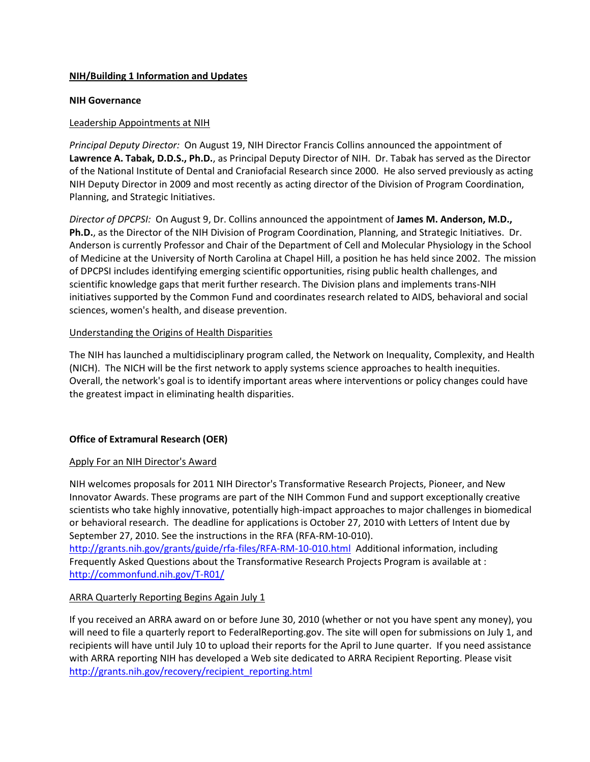#### **NIH/Building 1 Information and Updates**

#### **NIH Governance**

#### Leadership Appointments at NIH

*Principal Deputy Director:* On August 19, NIH Director Francis Collins announced the appointment of **Lawrence A. Tabak, D.D.S., Ph.D.**, as Principal Deputy Director of NIH. Dr. Tabak has served as the Director of the National Institute of Dental and Craniofacial Research since 2000. He also served previously as acting NIH Deputy Director in 2009 and most recently as acting director of the Division of Program Coordination, Planning, and Strategic Initiatives.

*Director of DPCPSI:* On August 9, Dr. Collins announced the appointment of **James M. Anderson, M.D., Ph.D.**, as the Director of the NIH Division of Program Coordination, Planning, and Strategic Initiatives. Dr. Anderson is currently Professor and Chair of the Department of Cell and Molecular Physiology in the School of Medicine at the University of North Carolina at Chapel Hill, a position he has held since 2002. The mission of DPCPSI includes identifying emerging scientific opportunities, rising public health challenges, and scientific knowledge gaps that merit further research. The Division plans and implements trans-NIH initiatives supported by the Common Fund and coordinates research related to AIDS, behavioral and social sciences, women's health, and disease prevention.

#### Understanding the Origins of Health Disparities

The NIH has launched a multidisciplinary program called, the Network on Inequality, Complexity, and Health (NICH). The NICH will be the first network to apply systems science approaches to health inequities. Overall, the network's goal is to identify important areas where interventions or policy changes could have the greatest impact in eliminating health disparities.

## **Office of Extramural Research (OER)**

#### Apply For an NIH Director's Award

NIH welcomes proposals for 2011 NIH Director's Transformative Research Projects, Pioneer, and New Innovator Awards. These programs are part of the NIH Common Fund and support exceptionally creative scientists who take highly innovative, potentially high-impact approaches to major challenges in biomedical or behavioral research. The deadline for applications is October 27, 2010 with Letters of Intent due by September 27, 2010. See the instructions in the RFA (RFA-RM-10-010).

<http://grants.nih.gov/grants/guide/rfa-files/RFA-RM-10-010.html>Additional information, including Frequently Asked Questions about the Transformative Research Projects Program is available at : <http://commonfund.nih.gov/T-R01/>

## ARRA Quarterly Reporting Begins Again July 1

If you received an ARRA award on or before June 30, 2010 (whether or not you have spent any money), you will need to file a quarterly report to FederalReporting.gov. The site will open for submissions on July 1, and recipients will have until July 10 to upload their reports for the April to June quarter. If you need assistance with ARRA reporting NIH has developed a Web site dedicated to ARRA Recipient Reporting. Please visit [http://grants.nih.gov/recovery/recipient\\_reporting.html](http://grants.nih.gov/recovery/recipient_reporting.html)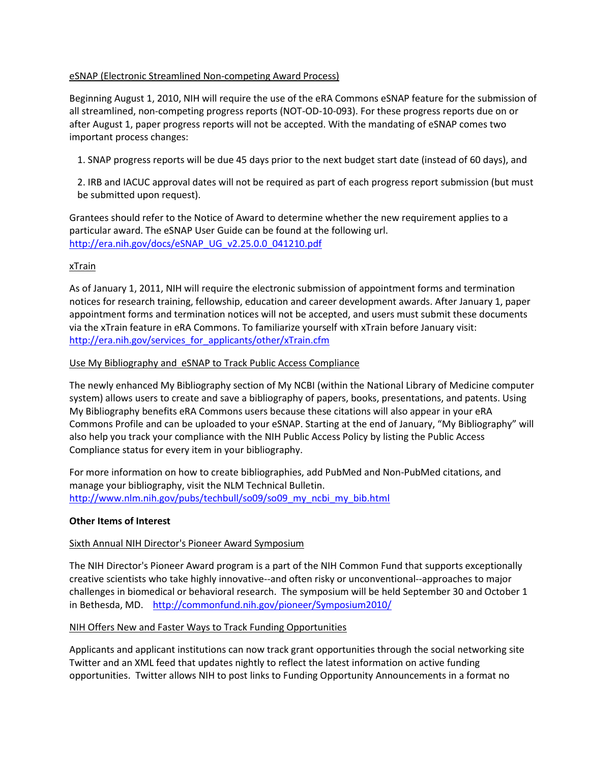#### eSNAP (Electronic Streamlined Non-competing Award Process)

Beginning August 1, 2010, NIH will require the use of the eRA Commons eSNAP feature for the submission of all streamlined, non-competing progress reports (NOT-OD-10-093). For these progress reports due on or after August 1, paper progress reports will not be accepted. With the mandating of eSNAP comes two important process changes:

1. SNAP progress reports will be due 45 days prior to the next budget start date (instead of 60 days), and

2. IRB and IACUC approval dates will not be required as part of each progress report submission (but must be submitted upon request).

Grantees should refer to the Notice of Award to determine whether the new requirement applies to a particular award. The eSNAP User Guide can be found at the following url. [http://era.nih.gov/docs/eSNAP\\_UG\\_v2.25.0.0\\_041210.pdf](http://era.nih.gov/docs/eSNAP_UG_v2.25.0.0_041210.pdf)

### xTrain

As of January 1, 2011, NIH will require the electronic submission of appointment forms and termination notices for research training, fellowship, education and career development awards. After January 1, paper appointment forms and termination notices will not be accepted, and users must submit these documents via the xTrain feature in eRA Commons. To familiarize yourself with xTrain before January visit: [http://era.nih.gov/services\\_for\\_applicants/other/xTrain.cfm](http://era.nih.gov/services_for_applicants/other/xTrain.cfm)

#### Use My Bibliography and eSNAP to Track Public Access Compliance

The newly enhanced My Bibliography section of My NCBI (within the National Library of Medicine computer system) allows users to create and save a bibliography of papers, books, presentations, and patents. Using My Bibliography benefits eRA Commons users because these citations will also appear in your eRA Commons Profile and can be uploaded to your eSNAP. Starting at the end of January, "My Bibliography" will also help you track your compliance with the NIH Public Access Policy by listing the Public Access Compliance status for every item in your bibliography.

For more information on how to create bibliographies, add PubMed and Non-PubMed citations, and manage your bibliography, visit the NLM Technical Bulletin. [http://www.nlm.nih.gov/pubs/techbull/so09/so09\\_my\\_ncbi\\_my\\_bib.html](http://www.nlm.nih.gov/pubs/techbull/so09/so09_my_ncbi_my_bib.html)

#### **Other Items of Interest**

#### Sixth Annual NIH Director's Pioneer Award Symposium

The NIH Director's Pioneer Award program is a part of the NIH Common Fund that supports exceptionally creative scientists who take highly innovative--and often risky or unconventional--approaches to major challenges in biomedical or behavioral research. The symposium will be held September 30 and October 1 in Bethesda, MD. http://commonfund.nih.gov/pioneer/Symposium2010/

#### NIH Offers New and Faster Ways to Track Funding Opportunities

Applicants and applicant institutions can now track grant opportunities through the social networking site Twitter and an XML feed that updates nightly to reflect the latest information on active funding opportunities. Twitter allows NIH to post links to Funding Opportunity Announcements in a format no